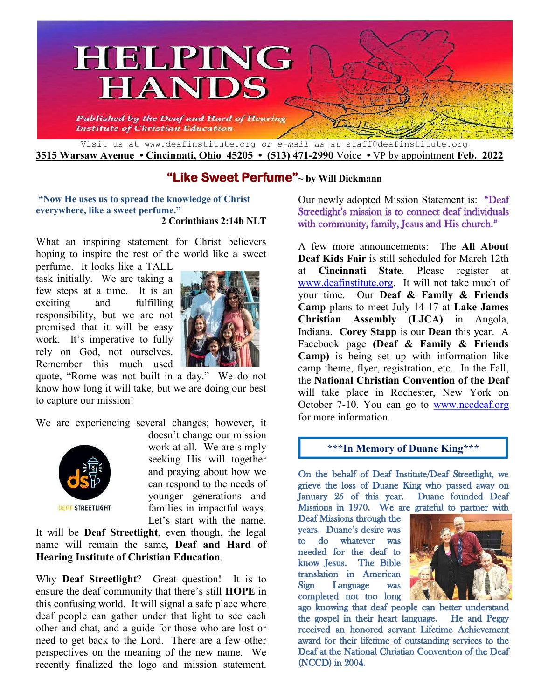

# **"Like Sweet Perfume"~ by Will Dickmann**

**"Now He uses us to spread the knowledge of Christ everywhere, like a sweet perfume." 2 Corinthians 2:14b NLT**

What an inspiring statement for Christ believers hoping to inspire the rest of the world like a sweet

perfume. It looks like a TALL task initially. We are taking a few steps at a time. It is an exciting and fulfilling responsibility, but we are not promised that it will be easy work. It's imperative to fully rely on God, not ourselves. Remember this much used



quote, "Rome was not built in a day." We do not know how long it will take, but we are doing our best to capture our mission!

We are experiencing several changes; however, it



doesn't change our mission work at all. We are simply seeking His will together and praying about how we can respond to the needs of younger generations and families in impactful ways. Let's start with the name.

It will be **Deaf Streetlight**, even though, the legal name will remain the same, **Deaf and Hard of Hearing Institute of Christian Education**.

Why **Deaf Streetlight**? Great question! It is to ensure the deaf community that there's still **HOPE** in this confusing world. It will signal a safe place where deaf people can gather under that light to see each other and chat, and a guide for those who are lost or need to get back to the Lord. There are a few other perspectives on the meaning of the new name. We recently finalized the logo and mission statement.

Our newly adopted Mission Statement is: "Deaf Streetlight's mission is to connect deaf individuals with community, family, Jesus and His church."

A few more announcements: The **All About Deaf Kids Fair** is still scheduled for March 12th at **Cincinnati State**. Please register at [www.deafinstitute.org.](http://www.deafinstitute.org/) It will not take much of your time. Our **Deaf & Family & Friends Camp** plans to meet July 14-17 at **Lake James Christian Assembly (LJCA)** in Angola, Indiana. **Corey Stapp** is our **Dean** this year. A Facebook page **(Deaf & Family & Friends Camp)** is being set up with information like camp theme, flyer, registration, etc. In the Fall, the **National Christian Convention of the Deaf** will take place in Rochester, New York on October 7-10. You can go to [www.nccdeaf.org](http://www.nccdeaf.org/) for more information.

#### **\*\*\*In Memory of Duane King\*\*\***

On the behalf of Deaf Institute/Deaf Streetlight, we grieve the loss of Duane King who passed away on<br>January 25 of this year. Duane founded Deaf January  $25$  of this year. Missions in 1970. We are grateful to partner with

Deaf Missions through the vears. Duane's desire was to do whatever was needed for the deaf to know Jesus. The Bible translation in American Sign Language was completed not too long



ago knowing that deaf people can better understand the gospel in their heart language. He and Peggy received an honored servant Lifetime Achievement award for their lifetime of outstanding services to the Deaf at the National Christian Convention of the Deaf (NCCD) in 2004.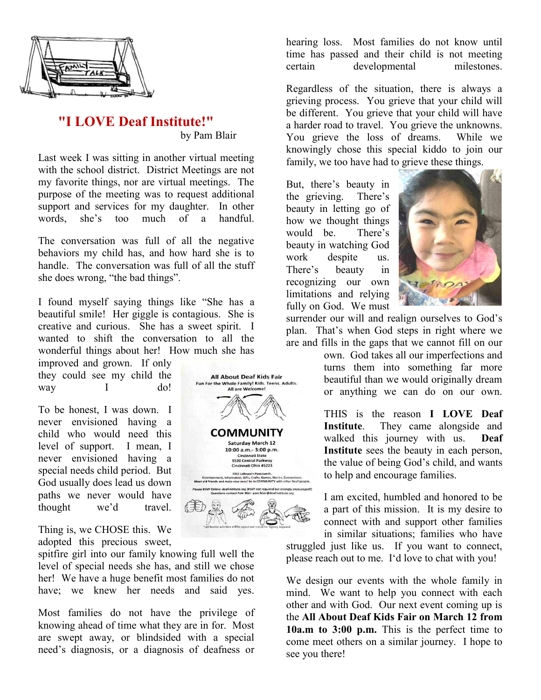

## **"I LOVE Deaf Institute!"**  by Pam Blair

Last week I was sitting in another virtual meeting with the school district. District Meetings are not my favorite things, nor are virtual meetings. The purpose of the meeting was to request additional support and services for my daughter. In other words, she's too much of a handful.

The conversation was full of all the negative behaviors my child has, and how hard she is to handle. The conversation was full of all the stuff she does wrong, "the bad things".

I found myself saying things like "She has a beautiful smile! Her giggle is contagious. She is creative and curious. She has a sweet spirit. I wanted to shift the conversation to all the wonderful things about her! How much she has

improved and grown. If only they could see my child the way I do!

To be honest, I was down. I never envisioned having a child who would need this level of support. I mean, I never envisioned having a special needs child period. But God usually does lead us down paths we never would have thought we'd travel.

Thing is, we CHOSE this. We adopted this precious sweet,

spitfire girl into our family knowing full well the level of special needs she has, and still we chose her! We have a huge benefit most families do not have; we knew her needs and said yes.

Most families do not have the privilege of knowing ahead of time what they are in for. Most are swept away, or blindsided with a special need's diagnosis, or a diagnosis of deafness or



hearing loss. Most families do not know until time has passed and their child is not meeting certain developmental milestones.

Regardless of the situation, there is always a grieving process. You grieve that your child will be different. You grieve that your child will have a harder road to travel. You grieve the unknowns. You grieve the loss of dreams. While we knowingly chose this special kiddo to join our family, we too have had to grieve these things.

But, there's beauty in the grieving. There's beauty in letting go of how we thought things would be. There's beauty in watching God work despite us. There's beauty in recognizing our own limitations and relying fully on God. We must



surrender our will and realign ourselves to God's plan. That's when God steps in right where we are and fills in the gaps that we cannot fill on our

> own. God takes all our imperfections and turns them into something far more beautiful than we would originally dream or anything we can do on our own.

> THIS is the reason **I LOVE Deaf Institute**. They came alongside and walked this journey with us. **Deaf Institute** sees the beauty in each person, the value of being God's child, and wants to help and encourage families.

> I am excited, humbled and honored to be a part of this mission. It is my desire to connect with and support other families in similar situations; families who have

struggled just like us. If you want to connect, please reach out to me. I'd love to chat with you!

We design our events with the whole family in mind. We want to help you connect with each other and with God. Our next event coming up is the **All About Deaf Kids Fair on March 12 from 10a.m to 3:00 p.m.** This is the perfect time to come meet others on a similar journey. I hope to see you there!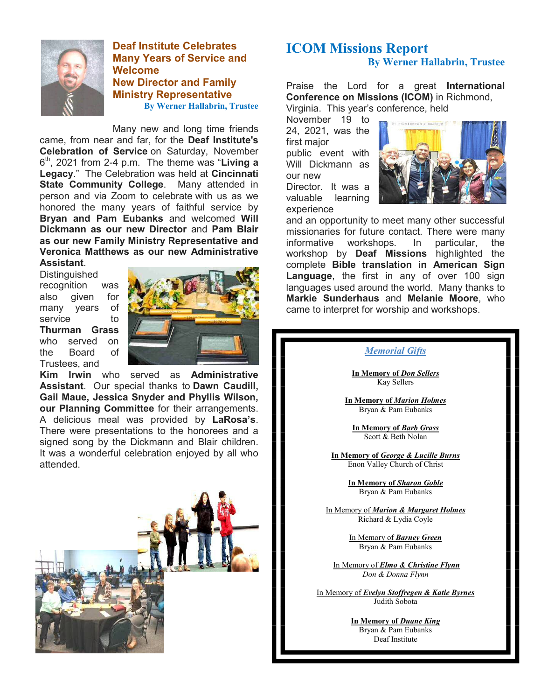

**Deaf Institute Celebrates Many Years of Service and Welcome New Director and Family Ministry Representative By Werner Hallabrin, Trustee** 

Many new and long time friends came, from near and far, for the **Deaf Institute's Celebration of Service** on Saturday, November  $6<sup>th</sup>$ , 2021 from 2-4 p.m. The theme was "**Living a Legacy**." The Celebration was held at **Cincinnati State Community College**. Many attended in person and via Zoom to celebrate with us as we honored the many years of faithful service by **Bryan and Pam Eubanks** and welcomed **Will Dickmann as our new Director** and **Pam Blair as our new Family Ministry Representative and Veronica Matthews as our new Administrative Assistant**.

**Distinguished** recognition was also given for many years of service to **Thurman Grass** who served on the Board of Trustees, and



**Kim Irwin** who served as **Administrative Assistant**. Our special thanks to **Dawn Caudill, Gail Maue, Jessica Snyder and Phyllis Wilson, our Planning Committee** for their arrangements. A delicious meal was provided by **LaRosa's**. There were presentations to the honorees and a signed song by the Dickmann and Blair children. It was a wonderful celebration enjoyed by all who attended.



## **ICOM Missions Report By Werner Hallabrin, Trustee**

Praise the Lord for a great **International Conference on Missions (ICOM)** in Richmond, Virginia. This year's conference, held

November 19 to 24, 2021, was the first major public event with Will Dickmann as our new Director. It was a valuable learning experience



and an opportunity to meet many other successful missionaries for future contact. There were many informative workshops. In particular, the workshop by **Deaf Missions** highlighted the complete **Bible translation in American Sign Language**, the first in any of over 100 sign languages used around the world. Many thanks to **Markie Sunderhaus** and **Melanie Moore**, who came to interpret for worship and workshops.

#### *Memorial Gifts*

**In Memory of** *Don Sellers* Kay Sellers

**In Memory of** *Marion Holmes* Bryan & Pam Eubanks

**In Memory of** *Barb Grass* Scott & Beth Nolan

**In Memory of** *George & Lucille Burns* Enon Valley Church of Christ

> **In Memory of** *Sharon Goble* Bryan & Pam Eubanks

In Memory of *Marion & Margaret Holmes* Richard & Lydia Coyle

> In Memory of *Barney Green* Bryan & Pam Eubanks

 In Memory of *Elmo & Christine Flynn Don & Donna Flynn* 

In Memory of *Evelyn Stoffregen & Katie Byrnes* Judith Sobota

> **In Memory of** *Duane King* Bryan & Pam Eubanks Deaf Institute